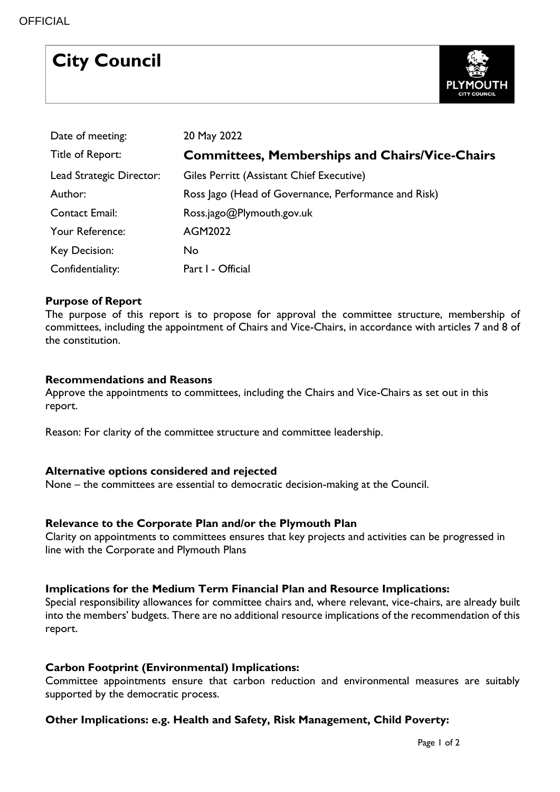|  | <b>City Council</b> |
|--|---------------------|
|--|---------------------|



| Date of meeting:         | 20 May 2022                                           |
|--------------------------|-------------------------------------------------------|
| Title of Report:         | <b>Committees, Memberships and Chairs/Vice-Chairs</b> |
| Lead Strategic Director: | Giles Perritt (Assistant Chief Executive)             |
| Author:                  | Ross Jago (Head of Governance, Performance and Risk)  |
| <b>Contact Email:</b>    | Ross.jago@Plymouth.gov.uk                             |
| Your Reference:          | AGM2022                                               |
| Key Decision:            | No.                                                   |
| Confidentiality:         | Part I - Official                                     |

## **Purpose of Report**

The purpose of this report is to propose for approval the committee structure, membership of committees, including the appointment of Chairs and Vice-Chairs, in accordance with articles 7 and 8 of the constitution.

#### **Recommendations and Reasons**

Approve the appointments to committees, including the Chairs and Vice-Chairs as set out in this report.

Reason: For clarity of the committee structure and committee leadership.

#### **Alternative options considered and rejected**

None – the committees are essential to democratic decision-making at the Council.

#### **Relevance to the Corporate Plan and/or the Plymouth Plan**

Clarity on appointments to committees ensures that key projects and activities can be progressed in line with the Corporate and Plymouth Plans

#### **Implications for the Medium Term Financial Plan and Resource Implications:**

Special responsibility allowances for committee chairs and, where relevant, vice-chairs, are already built into the members' budgets. There are no additional resource implications of the recommendation of this report.

#### **Carbon Footprint (Environmental) Implications:**

Committee appointments ensure that carbon reduction and environmental measures are suitably supported by the democratic process.

## **Other Implications: e.g. Health and Safety, Risk Management, Child Poverty:**